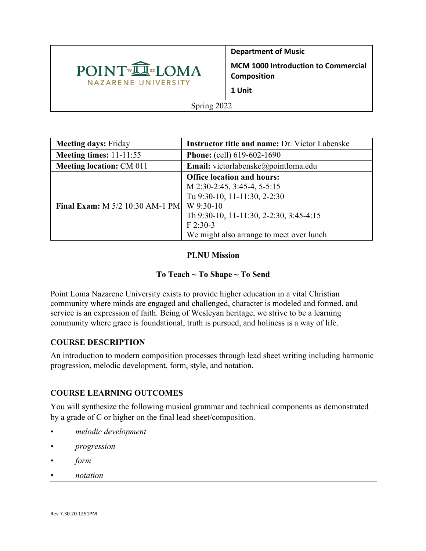

**Department of Music MCM 1000 Introduction to Commercial Composition 1 Unit**

Spring 2022

| <b>Meeting days: Friday</b>            | Instructor title and name: Dr. Victor Labenske                                                                                                                                                                     |  |  |
|----------------------------------------|--------------------------------------------------------------------------------------------------------------------------------------------------------------------------------------------------------------------|--|--|
| Meeting times: $11-11:55$              | <b>Phone:</b> (cell) 619-602-1690                                                                                                                                                                                  |  |  |
| <b>Meeting location: CM 011</b>        | <b>Email:</b> victorlabenske@pointloma.edu                                                                                                                                                                         |  |  |
| <b>Final Exam:</b> M 5/2 10:30 AM-1 PM | <b>Office location and hours:</b><br>M 2:30-2:45, 3:45-4, 5-5:15<br>Tu 9:30-10, 11-11:30, 2-2:30<br>W 9:30-10<br>Th 9:30-10, 11-11:30, 2-2:30, 3:45-4:15<br>$F$ 2:30-3<br>We might also arrange to meet over lunch |  |  |

# **PLNU Mission**

# **To Teach ~ To Shape ~ To Send**

Point Loma Nazarene University exists to provide higher education in a vital Christian community where minds are engaged and challenged, character is modeled and formed, and service is an expression of faith. Being of Wesleyan heritage, we strive to be a learning community where grace is foundational, truth is pursued, and holiness is a way of life.

# **COURSE DESCRIPTION**

An introduction to modern composition processes through lead sheet writing including harmonic progression, melodic development, form, style, and notation.

# **COURSE LEARNING OUTCOMES**

You will synthesize the following musical grammar and technical components as demonstrated by a grade of C or higher on the final lead sheet/composition.

- *• melodic development*
- *• progression*
- *• form*
- *• notation*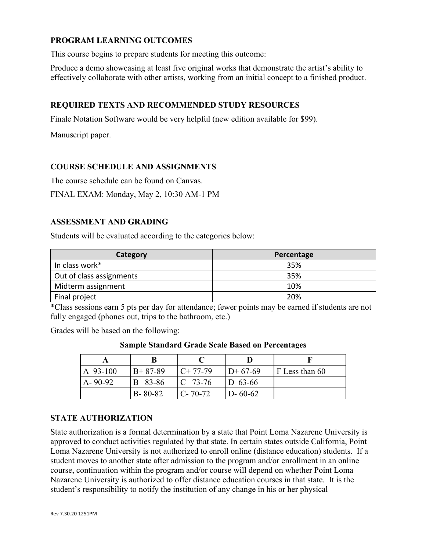### **PROGRAM LEARNING OUTCOMES**

This course begins to prepare students for meeting this outcome:

Produce a demo showcasing at least five original works that demonstrate the artist's ability to effectively collaborate with other artists, working from an initial concept to a finished product.

### **REQUIRED TEXTS AND RECOMMENDED STUDY RESOURCES**

Finale Notation Software would be very helpful (new edition available for \$99).

Manuscript paper.

#### **COURSE SCHEDULE AND ASSIGNMENTS**

The course schedule can be found on Canvas.

FINAL EXAM: Monday, May 2, 10:30 AM-1 PM

#### **ASSESSMENT AND GRADING**

Students will be evaluated according to the categories below:

| Category                 | Percentage |  |
|--------------------------|------------|--|
| In class work*           | 35%        |  |
| Out of class assignments | 35%        |  |
| Midterm assignment       | 10%        |  |
| Final project            | 20%        |  |

\*Class sessions earn 5 pts per day for attendance; fewer points may be earned if students are not fully engaged (phones out, trips to the bathroom, etc.)

Grades will be based on the following:

| $A$ 93-100    | $B+87-89$     | $C+77-79$     | $D+67-69$     | F Less than 60 |
|---------------|---------------|---------------|---------------|----------------|
| $A - 90 - 92$ | B 83-86       | $IC$ 73-76    | $ID$ 63-66    |                |
|               | $B - 80 - 82$ | $C - 70 - 72$ | $D - 60 - 62$ |                |

**Sample Standard Grade Scale Based on Percentages**

### **STATE AUTHORIZATION**

State authorization is a formal determination by a state that Point Loma Nazarene University is approved to conduct activities regulated by that state. In certain states outside California, Point Loma Nazarene University is not authorized to enroll online (distance education) students. If a student moves to another state after admission to the program and/or enrollment in an online course, continuation within the program and/or course will depend on whether Point Loma Nazarene University is authorized to offer distance education courses in that state. It is the student's responsibility to notify the institution of any change in his or her physical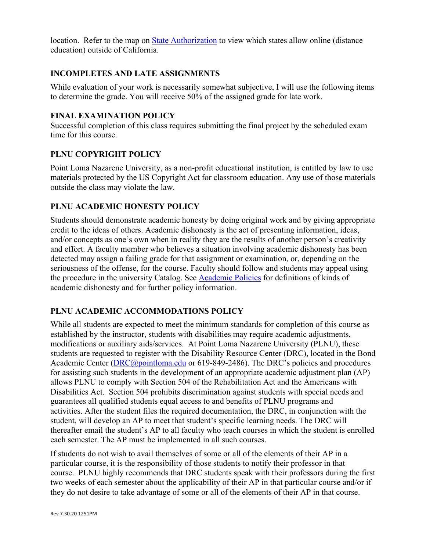location. Refer to the map on State Authorization to view which states allow online (distance education) outside of California.

### **INCOMPLETES AND LATE ASSIGNMENTS**

While evaluation of your work is necessarily somewhat subjective, I will use the following items to determine the grade. You will receive 50% of the assigned grade for late work.

#### **FINAL EXAMINATION POLICY**

Successful completion of this class requires submitting the final project by the scheduled exam time for this course.

### **PLNU COPYRIGHT POLICY**

Point Loma Nazarene University, as a non-profit educational institution, is entitled by law to use materials protected by the US Copyright Act for classroom education. Any use of those materials outside the class may violate the law.

# **PLNU ACADEMIC HONESTY POLICY**

Students should demonstrate academic honesty by doing original work and by giving appropriate credit to the ideas of others. Academic dishonesty is the act of presenting information, ideas, and/or concepts as one's own when in reality they are the results of another person's creativity and effort. A faculty member who believes a situation involving academic dishonesty has been detected may assign a failing grade for that assignment or examination, or, depending on the seriousness of the offense, for the course. Faculty should follow and students may appeal using the procedure in the university Catalog. See Academic Policies for definitions of kinds of academic dishonesty and for further policy information.

# **PLNU ACADEMIC ACCOMMODATIONS POLICY**

While all students are expected to meet the minimum standards for completion of this course as established by the instructor, students with disabilities may require academic adjustments, modifications or auxiliary aids/services. At Point Loma Nazarene University (PLNU), these students are requested to register with the Disability Resource Center (DRC), located in the Bond Academic Center (*DRC@pointloma.edu* or 619-849-2486). The DRC's policies and procedures for assisting such students in the development of an appropriate academic adjustment plan (AP) allows PLNU to comply with Section 504 of the Rehabilitation Act and the Americans with Disabilities Act. Section 504 prohibits discrimination against students with special needs and guarantees all qualified students equal access to and benefits of PLNU programs and activities. After the student files the required documentation, the DRC, in conjunction with the student, will develop an AP to meet that student's specific learning needs. The DRC will thereafter email the student's AP to all faculty who teach courses in which the student is enrolled each semester. The AP must be implemented in all such courses.

If students do not wish to avail themselves of some or all of the elements of their AP in a particular course, it is the responsibility of those students to notify their professor in that course. PLNU highly recommends that DRC students speak with their professors during the first two weeks of each semester about the applicability of their AP in that particular course and/or if they do not desire to take advantage of some or all of the elements of their AP in that course.